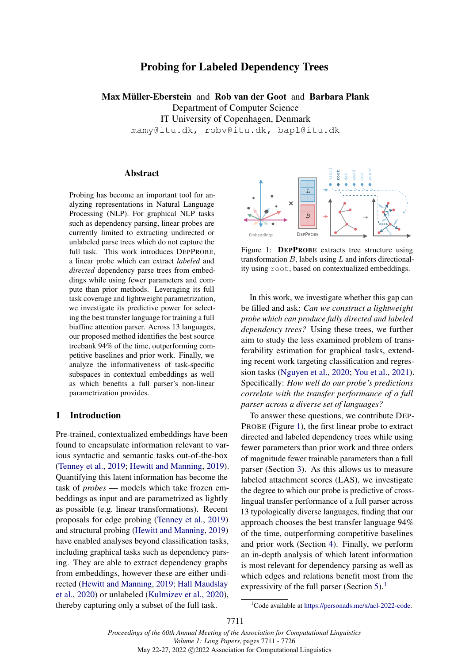# Probing for Labeled Dependency Trees

Max Müller-Eberstein and Rob van der Goot and Barbara Plank Department of Computer Science IT University of Copenhagen, Denmark mamy@itu.dk, robv@itu.dk, bapl@itu.dk

## Abstract

Probing has become an important tool for analyzing representations in Natural Language Processing (NLP). For graphical NLP tasks such as dependency parsing, linear probes are currently limited to extracting undirected or unlabeled parse trees which do not capture the full task. This work introduces DEPPROBE, a linear probe which can extract *labeled* and *directed* dependency parse trees from embeddings while using fewer parameters and compute than prior methods. Leveraging its full task coverage and lightweight parametrization, we investigate its predictive power for selecting the best transfer language for training a full biaffine attention parser. Across 13 languages, our proposed method identifies the best source treebank 94% of the time, outperforming competitive baselines and prior work. Finally, we analyze the informativeness of task-specific subspaces in contextual embeddings as well as which benefits a full parser's non-linear parametrization provides.

#### 1 Introduction

Pre-trained, contextualized embeddings have been found to encapsulate information relevant to various syntactic and semantic tasks out-of-the-box [\(Tenney et al.,](#page-10-0) [2019;](#page-10-0) [Hewitt and Manning,](#page-9-0) [2019\)](#page-9-0). Quantifying this latent information has become the task of *probes* — models which take frozen embeddings as input and are parametrized as lightly as possible (e.g. linear transformations). Recent proposals for edge probing [\(Tenney et al.,](#page-10-0) [2019\)](#page-10-0) and structural probing [\(Hewitt and Manning,](#page-9-0) [2019\)](#page-9-0) have enabled analyses beyond classification tasks, including graphical tasks such as dependency parsing. They are able to extract dependency graphs from embeddings, however these are either undirected [\(Hewitt and Manning,](#page-9-0) [2019;](#page-9-0) [Hall Maudslay](#page-8-0) [et al.,](#page-8-0) [2020\)](#page-8-0) or unlabeled [\(Kulmizev et al.,](#page-9-1) [2020\)](#page-9-1), thereby capturing only a subset of the full task.

<span id="page-0-0"></span>

Figure 1: **DEPPROBE** extracts tree structure using transformation  $B$ , labels using  $L$  and infers directionality using root, based on contextualized embeddings.

In this work, we investigate whether this gap can be filled and ask: *Can we construct a lightweight probe which can produce fully directed and labeled dependency trees?* Using these trees, we further aim to study the less examined problem of transferability estimation for graphical tasks, extending recent work targeting classification and regression tasks [\(Nguyen et al.,](#page-9-2) [2020;](#page-9-2) [You et al.,](#page-10-1) [2021\)](#page-10-1). Specifically: *How well do our probe's predictions correlate with the transfer performance of a full parser across a diverse set of languages?*

To answer these questions, we contribute DEP-PROBE (Figure [1\)](#page-0-0), the first linear probe to extract directed and labeled dependency trees while using fewer parameters than prior work and three orders of magnitude fewer trainable parameters than a full parser (Section [3\)](#page-1-0). As this allows us to measure labeled attachment scores (LAS), we investigate the degree to which our probe is predictive of crosslingual transfer performance of a full parser across 13 typologically diverse languages, finding that our approach chooses the best transfer language 94% of the time, outperforming competitive baselines and prior work (Section [4\)](#page-2-0). Finally, we perform an in-depth analysis of which latent information is most relevant for dependency parsing as well as which edges and relations benefit most from the expressivity of the full parser (Section [5\)](#page-5-0).<sup>[1](#page-0-1)</sup>

<span id="page-0-1"></span><sup>&</sup>lt;sup>1</sup>Code available at [https://personads.me/x/acl-2022-code.](https://personads.me/x/acl-2022-code)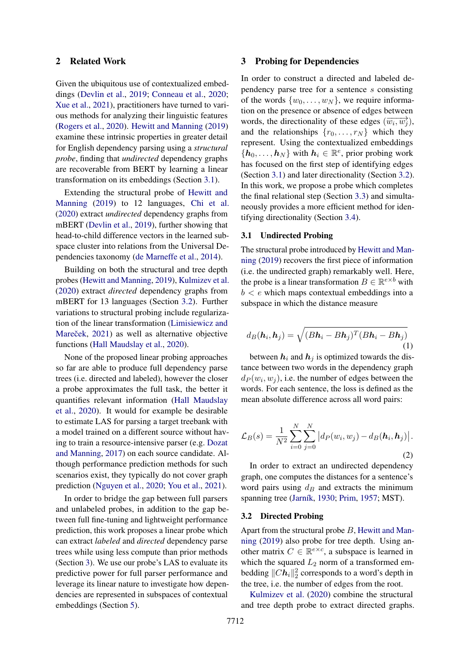## 2 Related Work

Given the ubiquitous use of contextualized embeddings [\(Devlin et al.,](#page-8-1) [2019;](#page-8-1) [Conneau et al.,](#page-8-2) [2020;](#page-8-2) [Xue et al.,](#page-10-2) [2021\)](#page-10-2), practitioners have turned to various methods for analyzing their linguistic features [\(Rogers et al.,](#page-9-3) [2020\)](#page-9-3). [Hewitt and Manning](#page-9-0) [\(2019\)](#page-9-0) examine these intrinsic properties in greater detail for English dependency parsing using a *structural probe*, finding that *undirected* dependency graphs are recoverable from BERT by learning a linear transformation on its embeddings (Section [3.1\)](#page-1-1).

Extending the structural probe of [Hewitt and](#page-9-0) [Manning](#page-9-0) [\(2019\)](#page-9-0) to 12 languages, [Chi et al.](#page-8-3) [\(2020\)](#page-8-3) extract *undirected* dependency graphs from mBERT [\(Devlin et al.,](#page-8-1) [2019\)](#page-8-1), further showing that head-to-child difference vectors in the learned subspace cluster into relations from the Universal Dependencies taxonomy [\(de Marneffe et al.,](#page-8-4) [2014\)](#page-8-4).

Building on both the structural and tree depth probes [\(Hewitt and Manning,](#page-9-0) [2019\)](#page-9-0), [Kulmizev et al.](#page-9-1) [\(2020\)](#page-9-1) extract *directed* dependency graphs from mBERT for 13 languages (Section [3.2\)](#page-1-2). Further variations to structural probing include regularization of the linear transformation [\(Limisiewicz and](#page-9-4) Mareček, [2021\)](#page-9-4) as well as alternative objective functions [\(Hall Maudslay et al.,](#page-8-0) [2020\)](#page-8-0).

None of the proposed linear probing approaches so far are able to produce full dependency parse trees (i.e. directed and labeled), however the closer a probe approximates the full task, the better it quantifies relevant information [\(Hall Maudslay](#page-8-0) [et al.,](#page-8-0) [2020\)](#page-8-0). It would for example be desirable to estimate LAS for parsing a target treebank with a model trained on a different source without having to train a resource-intensive parser (e.g. [Dozat](#page-8-5) [and Manning,](#page-8-5) [2017\)](#page-8-5) on each source candidate. Although performance prediction methods for such scenarios exist, they typically do not cover graph prediction [\(Nguyen et al.,](#page-9-2) [2020;](#page-9-2) [You et al.,](#page-10-1) [2021\)](#page-10-1).

In order to bridge the gap between full parsers and unlabeled probes, in addition to the gap between full fine-tuning and lightweight performance prediction, this work proposes a linear probe which can extract *labeled* and *directed* dependency parse trees while using less compute than prior methods (Section [3\)](#page-1-0). We use our probe's LAS to evaluate its predictive power for full parser performance and leverage its linear nature to investigate how dependencies are represented in subspaces of contextual embeddings (Section [5\)](#page-5-0).

## <span id="page-1-0"></span>3 Probing for Dependencies

In order to construct a directed and labeled dependency parse tree for a sentence s consisting of the words  $\{w_0, \ldots, w_N\}$ , we require information on the presence or absence of edges between words, the directionality of these edges  $(\overrightarrow{w_i}, \overrightarrow{w_j})$ , and the relationships  $\{r_0, \ldots, r_N\}$  which they represent. Using the contextualized embeddings  $\{\boldsymbol{h}_0, \ldots, \boldsymbol{h}_N\}$  with  $\boldsymbol{h}_i \in \mathbb{R}^e$ , prior probing work has focused on the first step of identifying edges (Section [3.1\)](#page-1-1) and later directionality (Section [3.2\)](#page-1-2). In this work, we propose a probe which completes the final relational step (Section [3.3\)](#page-2-1) and simultaneously provides a more efficient method for identifying directionality (Section [3.4\)](#page-2-2).

#### <span id="page-1-1"></span>3.1 Undirected Probing

The structural probe introduced by [Hewitt and Man](#page-9-0)[ning](#page-9-0) [\(2019\)](#page-9-0) recovers the first piece of information (i.e. the undirected graph) remarkably well. Here, the probe is a linear transformation  $B \in \mathbb{R}^{e \times b}$  with  $b < e$  which maps contextual embeddings into a subspace in which the distance measure

$$
d_B(\mathbf{h}_i, \mathbf{h}_j) = \sqrt{(B\mathbf{h}_i - B\mathbf{h}_j)^T (B\mathbf{h}_i - B\mathbf{h}_j)}
$$
\n(1)

between  $h_i$  and  $h_j$  is optimized towards the distance between two words in the dependency graph  $d_P(w_i, w_j)$ , i.e. the number of edges between the words. For each sentence, the loss is defined as the mean absolute difference across all word pairs:

<span id="page-1-3"></span>
$$
\mathcal{L}_B(s) = \frac{1}{N^2} \sum_{i=0}^{N} \sum_{j=0}^{N} \left| d_P(w_i, w_j) - d_B(\mathbf{h}_i, \mathbf{h}_j) \right|.
$$
\n(2)

In order to extract an undirected dependency graph, one computes the distances for a sentence's word pairs using  $d<sub>B</sub>$  and extracts the minimum spanning tree [\(Jarník,](#page-9-5) [1930;](#page-9-5) [Prim,](#page-9-6) [1957;](#page-9-6) MST).

## <span id="page-1-2"></span>3.2 Directed Probing

Apart from the structural probe  $B$ , [Hewitt and Man](#page-9-0)[ning](#page-9-0) [\(2019\)](#page-9-0) also probe for tree depth. Using another matrix  $C \in \mathbb{R}^{e \times c}$ , a subspace is learned in which the squared  $L_2$  norm of a transformed embedding  $||Ch_i||_2^2$  corresponds to a word's depth in the tree, i.e. the number of edges from the root.

[Kulmizev et al.](#page-9-1) [\(2020\)](#page-9-1) combine the structural and tree depth probe to extract directed graphs.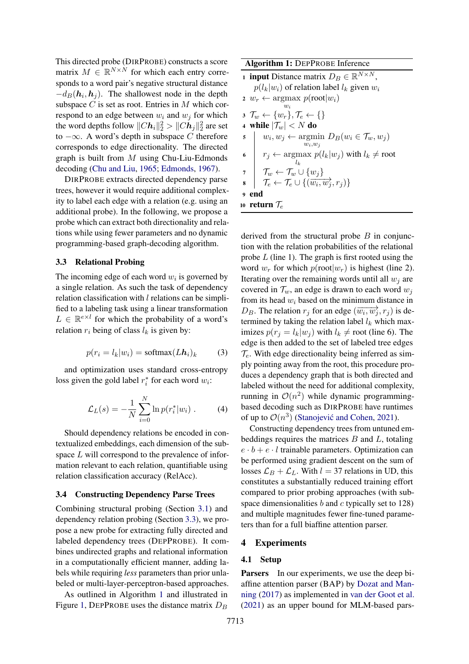This directed probe (DIRPROBE) constructs a score matrix  $M \in \mathbb{R}^{N \times N}$  for which each entry corresponds to a word pair's negative structural distance  $-d_B(h_i, h_j)$ . The shallowest node in the depth subspace  $C$  is set as root. Entries in  $M$  which correspond to an edge between  $w_i$  and  $w_j$  for which the word depths follow  $\|Ch_i\|_2^2 > \|Ch_j\|_2^2$  are set to −∞. A word's depth in subspace C therefore corresponds to edge directionality. The directed graph is built from  $M$  using Chu-Liu-Edmonds decoding [\(Chu and Liu,](#page-8-6) [1965;](#page-8-6) [Edmonds,](#page-8-7) [1967\)](#page-8-7).

DIRPROBE extracts directed dependency parse trees, however it would require additional complexity to label each edge with a relation (e.g. using an additional probe). In the following, we propose a probe which can extract both directionality and relations while using fewer parameters and no dynamic programming-based graph-decoding algorithm.

## <span id="page-2-1"></span>3.3 Relational Probing

The incoming edge of each word  $w_i$  is governed by a single relation. As such the task of dependency relation classification with  $l$  relations can be simplified to a labeling task using a linear transformation  $L \in \mathbb{R}^{e \times l}$  for which the probability of a word's relation  $r_i$  being of class  $l_k$  is given by:

$$
p(r_i = l_k | w_i) = \text{softmax}(L\mathbf{h}_i)_k \tag{3}
$$

and optimization uses standard cross-entropy loss given the gold label  $r_i^*$  for each word  $w_i$ :

$$
\mathcal{L}_L(s) = -\frac{1}{N} \sum_{i=0}^{N} \ln p(r_i^* | w_i) . \tag{4}
$$

Should dependency relations be encoded in contextualized embeddings, each dimension of the subspace L will correspond to the prevalence of information relevant to each relation, quantifiable using relation classification accuracy (RelAcc).

#### <span id="page-2-2"></span>3.4 Constructing Dependency Parse Trees

Combining structural probing (Section [3.1\)](#page-1-1) and dependency relation probing (Section [3.3\)](#page-2-1), we propose a new probe for extracting fully directed and labeled dependency trees (DEPPROBE). It combines undirected graphs and relational information in a computationally efficient manner, adding labels while requiring *less* parameters than prior unlabeled or multi-layer-perceptron-based approaches.

As outlined in Algorithm [1](#page-2-3) and illustrated in Figure [1,](#page-0-0) DEPPROBE uses the distance matrix  $D_B$ 

Algorithm 1: DEPPROBE Inference **1 input** Distance matrix  $D_B \in \mathbb{R}^{N \times N}$ ,  $p(l_k|w_i)$  of relation label  $l_k$  given  $w_i$ 2  $w_r \leftarrow \text{argmax } p(\text{root}|w_i)$  $w_i$  $\mathfrak{z} \mathcal{T}_w \leftarrow \{w_r\}, \mathcal{T}_e \leftarrow \{\}$ 4 while  $|\mathcal{T}_w| < N$  do  $\quad \quad \mathbf{s} \quad \left| \quad w_i, w_j \leftarrow \operatornamewithlimits{argmin}_{w_i, w_j} \, D_B(w_i \in \mathcal{T}_w, w_j) \right|$ 6  $r_j \leftarrow \text{argmax}$  $l_k$  $p(l_k|w_j)$  with  $l_k \neq$  root  $\tau$   $\top$   $\mathcal{T}_w \leftarrow \mathcal{T}_w \cup \{w_j\}$  $\mathbf{s} \left[ \begin{array}{c} \overbrace{\tau_e} \leftarrow \overline{\tau_e} \cup \{(\overbrace{w_i, w_j}, r_j)\} \end{array} \right]$ <sup>9</sup> end

<span id="page-2-3"></span>10 return  $\mathcal{T}_e$ 

derived from the structural probe  $B$  in conjunction with the relation probabilities of the relational probe  $L$  (line 1). The graph is first rooted using the word  $w_r$  for which  $p(\text{root}|w_r)$  is highest (line 2). Iterating over the remaining words until all  $w_i$  are covered in  $\mathcal{T}_w$ , an edge is drawn to each word  $w_i$ from its head  $w_i$  based on the minimum distance in  $D_B$ . The relation  $r_j$  for an edge  $(\overrightarrow{w_i}, \overrightarrow{w_j}, r_j)$  is determined by taking the relation label  $l_k$  which maximizes  $p(r_i = l_k | w_i)$  with  $l_k \neq$  root (line 6). The edge is then added to the set of labeled tree edges  $\mathcal{T}_e$ . With edge directionality being inferred as simply pointing away from the root, this procedure produces a dependency graph that is both directed and labeled without the need for additional complexity, running in  $\mathcal{O}(n^2)$  while dynamic programmingbased decoding such as DIRPROBE have runtimes of up to  $\mathcal{O}(n^3)$  (Stanojević and Cohen, [2021\)](#page-10-3).

Constructing dependency trees from untuned embeddings requires the matrices  $B$  and  $L$ , totaling  $e \cdot b + e \cdot l$  trainable parameters. Optimization can be performed using gradient descent on the sum of losses  $\mathcal{L}_B + \mathcal{L}_L$ . With  $l = 37$  relations in UD, this constitutes a substantially reduced training effort compared to prior probing approaches (with subspace dimensionalities  $b$  and  $c$  typically set to 128) and multiple magnitudes fewer fine-tuned parameters than for a full biaffine attention parser.

## <span id="page-2-0"></span>4 Experiments

#### 4.1 Setup

Parsers In our experiments, we use the deep biaffine attention parser (BAP) by [Dozat and Man](#page-8-5)[ning](#page-8-5) [\(2017\)](#page-8-5) as implemented in [van der Goot et al.](#page-10-4) [\(2021\)](#page-10-4) as an upper bound for MLM-based pars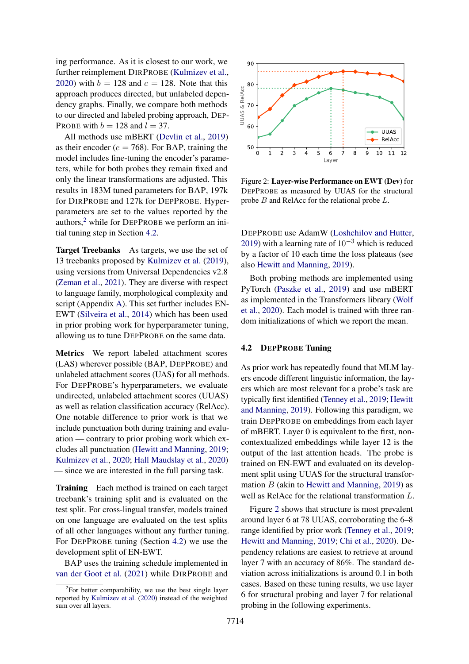ing performance. As it is closest to our work, we further reimplement DIRPROBE [\(Kulmizev et al.,](#page-9-1) [2020\)](#page-9-1) with  $b = 128$  and  $c = 128$ . Note that this approach produces directed, but unlabeled dependency graphs. Finally, we compare both methods to our directed and labeled probing approach, DEP-PROBE with  $b = 128$  and  $l = 37$ .

All methods use mBERT [\(Devlin et al.,](#page-8-1) [2019\)](#page-8-1) as their encoder ( $e = 768$ ). For BAP, training the model includes fine-tuning the encoder's parameters, while for both probes they remain fixed and only the linear transformations are adjusted. This results in 183M tuned parameters for BAP, 197k for DIRPROBE and 127k for DEPPROBE. Hyperparameters are set to the values reported by the authors,[2](#page-3-0) while for DEPPROBE we perform an initial tuning step in Section [4.2.](#page-3-1)

Target Treebanks As targets, we use the set of 13 treebanks proposed by [Kulmizev et al.](#page-9-7) [\(2019\)](#page-9-7), using versions from Universal Dependencies v2.8 [\(Zeman et al.,](#page-10-5) [2021\)](#page-10-5). They are diverse with respect to language family, morphological complexity and script (Appendix [A\)](#page-12-0). This set further includes EN-EWT [\(Silveira et al.,](#page-9-8) [2014\)](#page-9-8) which has been used in prior probing work for hyperparameter tuning, allowing us to tune DEPPROBE on the same data.

Metrics We report labeled attachment scores (LAS) wherever possible (BAP, DEPPROBE) and unlabeled attachment scores (UAS) for all methods. For DEPPROBE's hyperparameters, we evaluate undirected, unlabeled attachment scores (UUAS) as well as relation classification accuracy (RelAcc). One notable difference to prior work is that we include punctuation both during training and evaluation — contrary to prior probing work which excludes all punctuation [\(Hewitt and Manning,](#page-9-0) [2019;](#page-9-0) [Kulmizev et al.,](#page-9-1) [2020;](#page-9-1) [Hall Maudslay et al.,](#page-8-0) [2020\)](#page-8-0) — since we are interested in the full parsing task.

Training Each method is trained on each target treebank's training split and is evaluated on the test split. For cross-lingual transfer, models trained on one language are evaluated on the test splits of all other languages without any further tuning. For DEPPROBE tuning (Section [4.2\)](#page-3-1) we use the development split of EN-EWT.

BAP uses the training schedule implemented in [van der Goot et al.](#page-10-4) [\(2021\)](#page-10-4) while DIRPROBE and

<span id="page-3-2"></span>

Figure 2: Layer-wise Performance on EWT (Dev) for DEPPROBE as measured by UUAS for the structural probe B and RelAcc for the relational probe L.

DEPPROBE use AdamW [\(Loshchilov and Hutter,](#page-9-9) [2019\)](#page-9-9) with a learning rate of  $10^{-3}$  which is reduced by a factor of 10 each time the loss plateaus (see also [Hewitt and Manning,](#page-9-0) [2019\)](#page-9-0).

Both probing methods are implemented using PyTorch [\(Paszke et al.,](#page-9-10) [2019\)](#page-9-10) and use mBERT as implemented in the Transformers library [\(Wolf](#page-10-6) [et al.,](#page-10-6) [2020\)](#page-10-6). Each model is trained with three random initializations of which we report the mean.

## <span id="page-3-1"></span>4.2 DEPPROBE Tuning

As prior work has repeatedly found that MLM layers encode different linguistic information, the layers which are most relevant for a probe's task are typically first identified [\(Tenney et al.,](#page-10-0) [2019;](#page-10-0) [Hewitt](#page-9-0) [and Manning,](#page-9-0) [2019\)](#page-9-0). Following this paradigm, we train DEPPROBE on embeddings from each layer of mBERT. Layer 0 is equivalent to the first, noncontextualized embeddings while layer 12 is the output of the last attention heads. The probe is trained on EN-EWT and evaluated on its development split using UUAS for the structural transformation  $B$  (akin to [Hewitt and Manning,](#page-9-0) [2019\)](#page-9-0) as well as RelAcc for the relational transformation L.

Figure [2](#page-3-2) shows that structure is most prevalent around layer 6 at 78 UUAS, corroborating the 6–8 range identified by prior work [\(Tenney et al.,](#page-10-0) [2019;](#page-10-0) [Hewitt and Manning,](#page-9-0) [2019;](#page-9-0) [Chi et al.,](#page-8-3) [2020\)](#page-8-3). Dependency relations are easiest to retrieve at around layer 7 with an accuracy of 86%. The standard deviation across initializations is around 0.1 in both cases. Based on these tuning results, we use layer 6 for structural probing and layer 7 for relational probing in the following experiments.

<span id="page-3-0"></span> $2$ For better comparability, we use the best single layer reported by [Kulmizev et al.](#page-9-1) [\(2020\)](#page-9-1) instead of the weighted sum over all layers.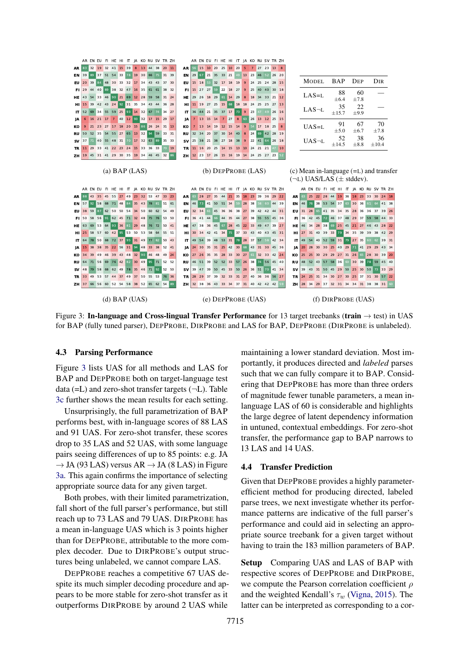<span id="page-4-0"></span>

Figure 3: In-language and Cross-lingual Transfer Performance for 13 target treebanks (train  $\rightarrow$  test) in UAS for BAP (fully tuned parser), DEPPROBE, DIRPROBE and LAS for BAP, DEPPROBE (DIRPROBE is unlabeled).

#### 4.3 Parsing Performance

Figure [3](#page-4-0) lists UAS for all methods and LAS for BAP and DEPPROBE both on target-language test data  $(=L)$  and zero-shot transfer targets  $(¬L)$ . Table [3c](#page-4-0) further shows the mean results for each setting.

Unsurprisingly, the full parametrization of BAP performs best, with in-language scores of 88 LAS and 91 UAS. For zero-shot transfer, these scores drop to 35 LAS and 52 UAS, with some language pairs seeing differences of up to 85 points: e.g. JA  $\rightarrow$  JA (93 LAS) versus AR  $\rightarrow$  JA (8 LAS) in Figure [3a.](#page-4-0) This again confirms the importance of selecting appropriate source data for any given target.

Both probes, with their limited parametrization, fall short of the full parser's performance, but still reach up to 73 LAS and 79 UAS. DIRPROBE has a mean in-language UAS which is 3 points higher than for DEPPROBE, attributable to the more complex decoder. Due to DIRPROBE's output structures being unlabeled, we cannot compare LAS.

DEPPROBE reaches a competitive 67 UAS despite its much simpler decoding procedure and appears to be more stable for zero-shot transfer as it outperforms DIRPROBE by around 2 UAS while

maintaining a lower standard deviation. Most importantly, it produces directed and *labeled* parses such that we can fully compare it to BAP. Considering that DEPPROBE has more than three orders of magnitude fewer tunable parameters, a mean inlanguage LAS of 60 is considerable and highlights the large degree of latent dependency information in untuned, contextual embeddings. For zero-shot transfer, the performance gap to BAP narrows to 13 LAS and 14 UAS.

#### <span id="page-4-1"></span>4.4 Transfer Prediction

Given that DEPPROBE provides a highly parameterefficient method for producing directed, labeled parse trees, we next investigate whether its performance patterns are indicative of the full parser's performance and could aid in selecting an appropriate source treebank for a given target without having to train the 183 million parameters of BAP.

Setup Comparing UAS and LAS of BAP with respective scores of DEPPROBE and DIRPROBE, we compute the Pearson correlation coefficient  $\rho$ and the weighted Kendall's  $\tau_w$  [\(Vigna,](#page-10-7) [2015\)](#page-10-7). The latter can be interpreted as corresponding to a cor-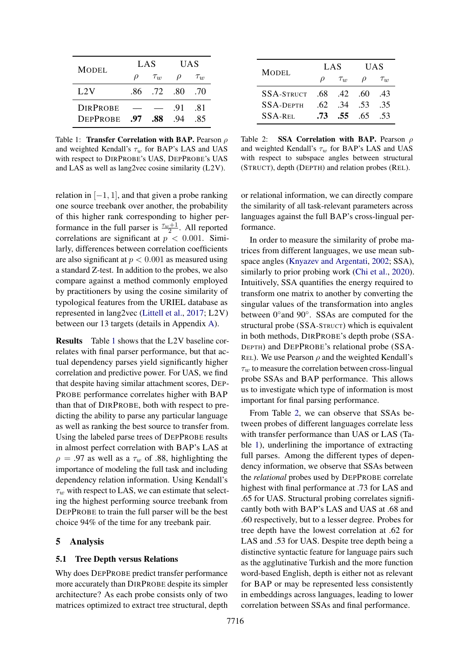<span id="page-5-1"></span>

| <b>MODEL</b>                       | LAS     |          | UAS        |            |
|------------------------------------|---------|----------|------------|------------|
|                                    | $\iota$ | $\tau_w$ | ρ          | $\tau_{w}$ |
| L2V                                | -86-    | 72 80    |            | .70        |
| <b>DIRPROBE</b><br><b>DEPPROBE</b> | .97     | .88      | .91<br>-94 | -81<br>-85 |
|                                    |         |          |            |            |

Table 1: **Transfer Correlation with BAP.** Pearson  $\rho$ and weighted Kendall's  $\tau_w$  for BAP's LAS and UAS with respect to DIRPROBE's UAS, DEPPROBE's UAS and LAS as well as lang2vec cosine similarity (L2V).

relation in  $[-1, 1]$ , and that given a probe ranking one source treebank over another, the probability of this higher rank corresponding to higher performance in the full parser is  $\frac{\tau_w+1}{2}$ . All reported correlations are significant at  $p < 0.001$ . Similarly, differences between correlation coefficients are also significant at  $p < 0.001$  as measured using a standard Z-test. In addition to the probes, we also compare against a method commonly employed by practitioners by using the cosine similarity of typological features from the URIEL database as represented in lang2vec [\(Littell et al.,](#page-9-11) [2017;](#page-9-11) L2V) between our 13 targets (details in Appendix [A\)](#page-12-0).

Results Table [1](#page-5-1) shows that the L2V baseline correlates with final parser performance, but that actual dependency parses yield significantly higher correlation and predictive power. For UAS, we find that despite having similar attachment scores, DEP-PROBE performance correlates higher with BAP than that of DIRPROBE, both with respect to predicting the ability to parse any particular language as well as ranking the best source to transfer from. Using the labeled parse trees of DEPPROBE results in almost perfect correlation with BAP's LAS at  $\rho = .97$  as well as a  $\tau_w$  of .88, highlighting the importance of modeling the full task and including dependency relation information. Using Kendall's  $\tau_w$  with respect to LAS, we can estimate that selecting the highest performing source treebank from DEPPROBE to train the full parser will be the best choice 94% of the time for any treebank pair.

## <span id="page-5-0"></span>5 Analysis

## <span id="page-5-3"></span>5.1 Tree Depth versus Relations

Why does DEPPROBE predict transfer performance more accurately than DIRPROBE despite its simpler architecture? As each probe consists only of two matrices optimized to extract tree structural, depth

<span id="page-5-2"></span>

| <b>MODEL</b>             | LAS    |                   | <b>UAS</b> |          |
|--------------------------|--------|-------------------|------------|----------|
|                          | $\rho$ | $\tau_w$          | $\rho$     | $\tau_w$ |
| $SSA-STRUCT$ .68 .42 .60 |        |                   |            | .43      |
| $SSA-DEPTH$              | -62.   | 34 53             |            | .35      |
| <b>SSA-REL</b>           |        | $.73$ $.55$ $.65$ |            | -53      |

Table 2: SSA Correlation with BAP. Pearson ρ and weighted Kendall's  $\tau_w$  for BAP's LAS and UAS with respect to subspace angles between structural (STRUCT), depth (DEPTH) and relation probes (REL).

or relational information, we can directly compare the similarity of all task-relevant parameters across languages against the full BAP's cross-lingual performance.

In order to measure the similarity of probe matrices from different languages, we use mean subspace angles [\(Knyazev and Argentati,](#page-9-12) [2002;](#page-9-12) SSA), similarly to prior probing work [\(Chi et al.,](#page-8-3) [2020\)](#page-8-3). Intuitively, SSA quantifies the energy required to transform one matrix to another by converting the singular values of the transformation into angles between 0° and 90°. SSAs are computed for the structural probe (SSA-STRUCT) which is equivalent in both methods, DIRPROBE's depth probe (SSA-DEPTH) and DEPPROBE's relational probe (SSA-REL). We use Pearson  $\rho$  and the weighted Kendall's  $\tau_w$  to measure the correlation between cross-lingual probe SSAs and BAP performance. This allows us to investigate which type of information is most important for final parsing performance.

From Table [2,](#page-5-2) we can observe that SSAs between probes of different languages correlate less with transfer performance than UAS or LAS (Table [1\)](#page-5-1), underlining the importance of extracting full parses. Among the different types of dependency information, we observe that SSAs between the *relational* probes used by DEPPROBE correlate highest with final performance at .73 for LAS and .65 for UAS. Structural probing correlates significantly both with BAP's LAS and UAS at .68 and .60 respectively, but to a lesser degree. Probes for tree depth have the lowest correlation at .62 for LAS and .53 for UAS. Despite tree depth being a distinctive syntactic feature for language pairs such as the agglutinative Turkish and the more function word-based English, depth is either not as relevant for BAP or may be represented less consistently in embeddings across languages, leading to lower correlation between SSAs and final performance.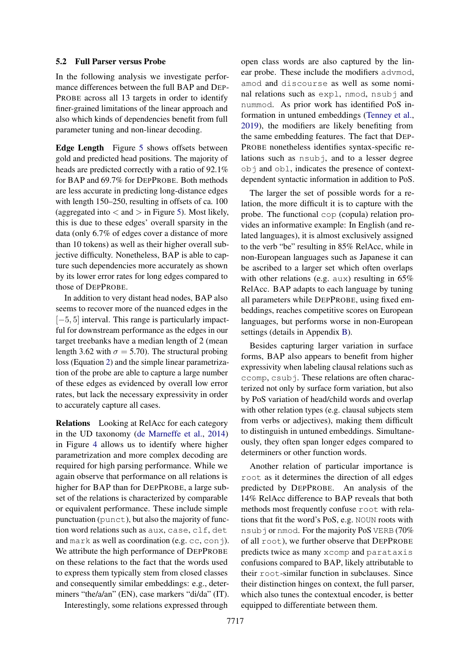#### <span id="page-6-0"></span>5.2 Full Parser versus Probe

In the following analysis we investigate performance differences between the full BAP and DEP-PROBE across all 13 targets in order to identify finer-grained limitations of the linear approach and also which kinds of dependencies benefit from full parameter tuning and non-linear decoding.

Edge Length Figure [5](#page-7-0) shows offsets between gold and predicted head positions. The majority of heads are predicted correctly with a ratio of 92.1% for BAP and 69.7% for DEPPROBE. Both methods are less accurate in predicting long-distance edges with length 150–250, resulting in offsets of ca. 100 (aggregated into  $\langle$  and  $\rangle$  in Figure [5\)](#page-7-0). Most likely, this is due to these edges' overall sparsity in the data (only 6.7% of edges cover a distance of more than 10 tokens) as well as their higher overall subjective difficulty. Nonetheless, BAP is able to capture such dependencies more accurately as shown by its lower error rates for long edges compared to those of DEPPROBE.

In addition to very distant head nodes, BAP also seems to recover more of the nuanced edges in the [−5, 5] interval. This range is particularly impactful for downstream performance as the edges in our target treebanks have a median length of 2 (mean length 3.62 with  $\sigma = 5.70$ ). The structural probing loss (Equation [2\)](#page-1-3) and the simple linear parametrization of the probe are able to capture a large number of these edges as evidenced by overall low error rates, but lack the necessary expressivity in order to accurately capture all cases.

Relations Looking at RelAcc for each category in the UD taxonomy [\(de Marneffe et al.,](#page-8-4) [2014\)](#page-8-4) in Figure [4](#page-7-1) allows us to identify where higher parametrization and more complex decoding are required for high parsing performance. While we again observe that performance on all relations is higher for BAP than for DEPPROBE, a large subset of the relations is characterized by comparable or equivalent performance. These include simple punctuation (punct), but also the majority of function word relations such as aux, case, clf, det and mark as well as coordination (e.g.  $cc$ ,  $conj$ ). We attribute the high performance of DEPPROBE on these relations to the fact that the words used to express them typically stem from closed classes and consequently similar embeddings: e.g., determiners "the/a/an" (EN), case markers "di/da" (IT).

Interestingly, some relations expressed through

open class words are also captured by the linear probe. These include the modifiers advmod, amod and discourse as well as some nominal relations such as expl, nmod, nsubj and nummod. As prior work has identified PoS information in untuned embeddings [\(Tenney et al.,](#page-10-0) [2019\)](#page-10-0), the modifiers are likely benefiting from the same embedding features. The fact that DEP-PROBE nonetheless identifies syntax-specific relations such as nsubj, and to a lesser degree obj and obl, indicates the presence of contextdependent syntactic information in addition to PoS.

The larger the set of possible words for a relation, the more difficult it is to capture with the probe. The functional cop (copula) relation provides an informative example: In English (and related languages), it is almost exclusively assigned to the verb "be" resulting in 85% RelAcc, while in non-European languages such as Japanese it can be ascribed to a larger set which often overlaps with other relations (e.g. aux) resulting in 65% RelAcc. BAP adapts to each language by tuning all parameters while DEPPROBE, using fixed embeddings, reaches competitive scores on European languages, but performs worse in non-European settings (details in Appendix [B\)](#page-12-1).

Besides capturing larger variation in surface forms, BAP also appears to benefit from higher expressivity when labeling clausal relations such as ccomp, csubj. These relations are often characterized not only by surface form variation, but also by PoS variation of head/child words and overlap with other relation types (e.g. clausal subjects stem from verbs or adjectives), making them difficult to distinguish in untuned embeddings. Simultaneously, they often span longer edges compared to determiners or other function words.

Another relation of particular importance is root as it determines the direction of all edges predicted by DEPPROBE. An analysis of the 14% RelAcc difference to BAP reveals that both methods most frequently confuse root with relations that fit the word's PoS, e.g. NOUN roots with nsubj or nmod. For the majority PoS VERB (70% of all root), we further observe that DEPPROBE predicts twice as many xcomp and parataxis confusions compared to BAP, likely attributable to their root-similar function in subclauses. Since their distinction hinges on context, the full parser, which also tunes the contextual encoder, is better equipped to differentiate between them.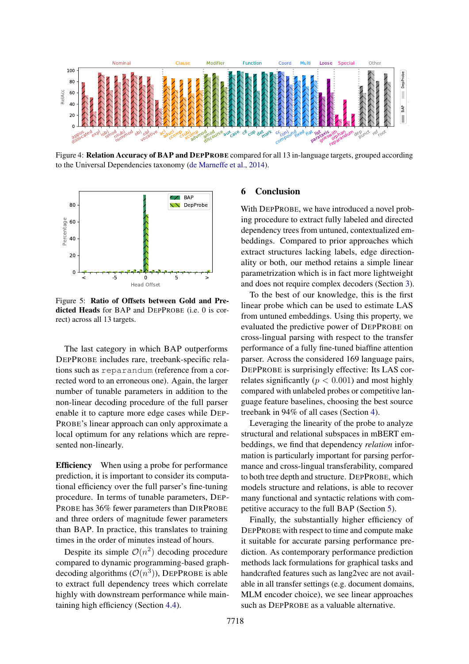<span id="page-7-1"></span>

Figure 4: Relation Accuracy of BAP and DEPPROBE compared for all 13 in-language targets, grouped according to the Universal Dependencies taxonomy [\(de Marneffe et al.,](#page-8-4) [2014\)](#page-8-4).

<span id="page-7-0"></span>

Figure 5: Ratio of Offsets between Gold and Predicted Heads for BAP and DEPPROBE (i.e. 0 is correct) across all 13 targets.

The last category in which BAP outperforms DEPPROBE includes rare, treebank-specific relations such as reparandum (reference from a corrected word to an erroneous one). Again, the larger number of tunable parameters in addition to the non-linear decoding procedure of the full parser enable it to capture more edge cases while DEP-PROBE's linear approach can only approximate a local optimum for any relations which are represented non-linearly.

Efficiency When using a probe for performance prediction, it is important to consider its computational efficiency over the full parser's fine-tuning procedure. In terms of tunable parameters, DEP-PROBE has 36% fewer parameters than DIRPROBE and three orders of magnitude fewer parameters than BAP. In practice, this translates to training times in the order of minutes instead of hours.

Despite its simple  $\mathcal{O}(n^2)$  decoding procedure compared to dynamic programming-based graphdecoding algorithms  $(\mathcal{O}(n^3))$ , DEPPROBE is able to extract full dependency trees which correlate highly with downstream performance while maintaining high efficiency (Section [4.4\)](#page-4-1).

#### 6 Conclusion

With DEPPROBE, we have introduced a novel probing procedure to extract fully labeled and directed dependency trees from untuned, contextualized embeddings. Compared to prior approaches which extract structures lacking labels, edge directionality or both, our method retains a simple linear parametrization which is in fact more lightweight and does not require complex decoders (Section [3\)](#page-1-0).

To the best of our knowledge, this is the first linear probe which can be used to estimate LAS from untuned embeddings. Using this property, we evaluated the predictive power of DEPPROBE on cross-lingual parsing with respect to the transfer performance of a fully fine-tuned biaffine attention parser. Across the considered 169 language pairs, DEPPROBE is surprisingly effective: Its LAS correlates significantly ( $p < 0.001$ ) and most highly compared with unlabeled probes or competitive language feature baselines, choosing the best source treebank in 94% of all cases (Section [4\)](#page-2-0).

Leveraging the linearity of the probe to analyze structural and relational subspaces in mBERT embeddings, we find that dependency *relation* information is particularly important for parsing performance and cross-lingual transferability, compared to both tree depth and structure. DEPPROBE, which models structure and relations, is able to recover many functional and syntactic relations with competitive accuracy to the full BAP (Section [5\)](#page-5-0).

Finally, the substantially higher efficiency of DEPPROBE with respect to time and compute make it suitable for accurate parsing performance prediction. As contemporary performance prediction methods lack formulations for graphical tasks and handcrafted features such as lang2vec are not available in all transfer settings (e.g. document domains, MLM encoder choice), we see linear approaches such as DEPPROBE as a valuable alternative.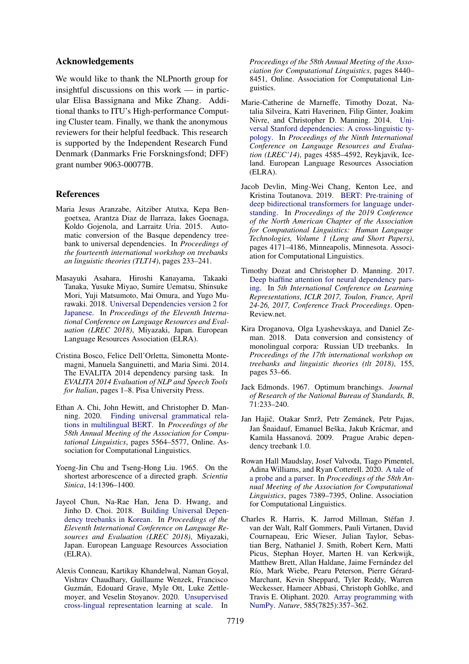## Acknowledgements

We would like to thank the NLPnorth group for insightful discussions on this work — in particular Elisa Bassignana and Mike Zhang. Additional thanks to ITU's High-performance Computing Cluster team. Finally, we thank the anonymous reviewers for their helpful feedback. This research is supported by the Independent Research Fund Denmark (Danmarks Frie Forskningsfond; DFF) grant number 9063-00077B.

## References

- <span id="page-8-9"></span>Maria Jesus Aranzabe, Aitziber Atutxa, Kepa Bengoetxea, Arantza Diaz de Ilarraza, Iakes Goenaga, Koldo Gojenola, and Larraitz Uria. 2015. Automatic conversion of the Basque dependency treebank to universal dependencies. In *Proceedings of the fourteenth international workshop on treebanks an linguistic theories (TLT14)*, pages 233–241.
- <span id="page-8-11"></span>Masayuki Asahara, Hiroshi Kanayama, Takaaki Tanaka, Yusuke Miyao, Sumire Uematsu, Shinsuke Mori, Yuji Matsumoto, Mai Omura, and Yugo Murawaki. 2018. [Universal Dependencies version 2 for](https://aclanthology.org/L18-1287) [Japanese.](https://aclanthology.org/L18-1287) In *Proceedings of the Eleventh International Conference on Language Resources and Evaluation (LREC 2018)*, Miyazaki, Japan. European Language Resources Association (ELRA).
- <span id="page-8-10"></span>Cristina Bosco, Felice Dell'Orletta, Simonetta Montemagni, Manuela Sanguinetti, and Maria Simi. 2014. The EVALITA 2014 dependency parsing task. In *EVALITA 2014 Evaluation of NLP and Speech Tools for Italian*, pages 1–8. Pisa University Press.
- <span id="page-8-3"></span>Ethan A. Chi, John Hewitt, and Christopher D. Manning. 2020. [Finding universal grammatical rela](https://doi.org/10.18653/v1/2020.acl-main.493)[tions in multilingual BERT.](https://doi.org/10.18653/v1/2020.acl-main.493) In *Proceedings of the 58th Annual Meeting of the Association for Computational Linguistics*, pages 5564–5577, Online. Association for Computational Linguistics.
- <span id="page-8-6"></span>Yoeng-Jin Chu and Tseng-Hong Liu. 1965. On the shortest arborescence of a directed graph. *Scientia Sinica*, 14:1396–1400.
- <span id="page-8-12"></span>Jayeol Chun, Na-Rae Han, Jena D. Hwang, and Jinho D. Choi. 2018. [Building Universal Depen](https://aclanthology.org/L18-1347)[dency treebanks in Korean.](https://aclanthology.org/L18-1347) In *Proceedings of the Eleventh International Conference on Language Resources and Evaluation (LREC 2018)*, Miyazaki, Japan. European Language Resources Association (ELRA).
- <span id="page-8-2"></span>Alexis Conneau, Kartikay Khandelwal, Naman Goyal, Vishrav Chaudhary, Guillaume Wenzek, Francisco Guzmán, Edouard Grave, Myle Ott, Luke Zettlemoyer, and Veselin Stoyanov. 2020. [Unsupervised](https://doi.org/10.18653/v1/2020.acl-main.747) [cross-lingual representation learning at scale.](https://doi.org/10.18653/v1/2020.acl-main.747) In

*Proceedings of the 58th Annual Meeting of the Association for Computational Linguistics*, pages 8440– 8451, Online. Association for Computational Linguistics.

- <span id="page-8-4"></span>Marie-Catherine de Marneffe, Timothy Dozat, Natalia Silveira, Katri Haverinen, Filip Ginter, Joakim Nivre, and Christopher D. Manning. 2014. [Uni](http://www.lrec-conf.org/proceedings/lrec2014/pdf/1062_Paper.pdf)[versal Stanford dependencies: A cross-linguistic ty](http://www.lrec-conf.org/proceedings/lrec2014/pdf/1062_Paper.pdf)[pology.](http://www.lrec-conf.org/proceedings/lrec2014/pdf/1062_Paper.pdf) In *Proceedings of the Ninth International Conference on Language Resources and Evaluation (LREC'14)*, pages 4585–4592, Reykjavik, Iceland. European Language Resources Association (ELRA).
- <span id="page-8-1"></span>Jacob Devlin, Ming-Wei Chang, Kenton Lee, and Kristina Toutanova. 2019. [BERT: Pre-training of](https://doi.org/10.18653/v1/N19-1423) [deep bidirectional transformers for language under](https://doi.org/10.18653/v1/N19-1423)[standing.](https://doi.org/10.18653/v1/N19-1423) In *Proceedings of the 2019 Conference of the North American Chapter of the Association for Computational Linguistics: Human Language Technologies, Volume 1 (Long and Short Papers)*, pages 4171–4186, Minneapolis, Minnesota. Association for Computational Linguistics.
- <span id="page-8-5"></span>Timothy Dozat and Christopher D. Manning. 2017. [Deep biaffine attention for neural dependency pars](https://openreview.net/forum?id=Hk95PK9le)[ing.](https://openreview.net/forum?id=Hk95PK9le) In *5th International Conference on Learning Representations, ICLR 2017, Toulon, France, April 24-26, 2017, Conference Track Proceedings*. Open-Review.net.
- <span id="page-8-13"></span>Kira Droganova, Olga Lyashevskaya, and Daniel Zeman. 2018. Data conversion and consistency of monolingual corpora: Russian UD treebanks. In *Proceedings of the 17th international workshop on treebanks and linguistic theories (tlt 2018)*, 155, pages 53–66.
- <span id="page-8-7"></span>Jack Edmonds. 1967. Optimum branchings. *Journal of Research of the National Bureau of Standards, B*, 71:233–240.
- <span id="page-8-8"></span>Jan Hajič, Otakar Smrž, Petr Zemánek, Petr Pajas, Jan Šnaidauf, Emanuel Beška, Jakub Krácmar, and Kamila Hassanová. 2009. Prague Arabic dependency treebank 1.0.
- <span id="page-8-0"></span>Rowan Hall Maudslay, Josef Valvoda, Tiago Pimentel, Adina Williams, and Ryan Cotterell. 2020. [A tale of](https://doi.org/10.18653/v1/2020.acl-main.659) [a probe and a parser.](https://doi.org/10.18653/v1/2020.acl-main.659) In *Proceedings of the 58th Annual Meeting of the Association for Computational Linguistics*, pages 7389–7395, Online. Association for Computational Linguistics.
- <span id="page-8-14"></span>Charles R. Harris, K. Jarrod Millman, Stéfan J. van der Walt, Ralf Gommers, Pauli Virtanen, David Cournapeau, Eric Wieser, Julian Taylor, Sebastian Berg, Nathaniel J. Smith, Robert Kern, Matti Picus, Stephan Hoyer, Marten H. van Kerkwijk, Matthew Brett, Allan Haldane, Jaime Fernández del Río, Mark Wiebe, Pearu Peterson, Pierre Gérard-Marchant, Kevin Sheppard, Tyler Reddy, Warren Weckesser, Hameer Abbasi, Christoph Gohlke, and Travis E. Oliphant. 2020. [Array programming with](https://doi.org/10.1038/s41586-020-2649-2) [NumPy.](https://doi.org/10.1038/s41586-020-2649-2) *Nature*, 585(7825):357–362.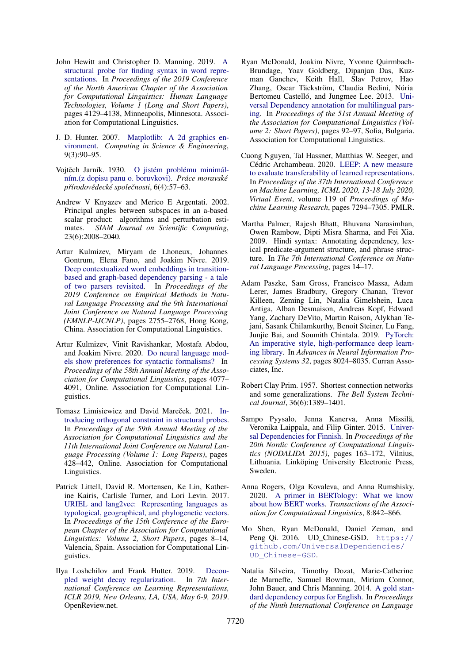- <span id="page-9-0"></span>John Hewitt and Christopher D. Manning. 2019. [A](https://doi.org/10.18653/v1/N19-1419) [structural probe for finding syntax in word repre](https://doi.org/10.18653/v1/N19-1419)[sentations.](https://doi.org/10.18653/v1/N19-1419) In *Proceedings of the 2019 Conference of the North American Chapter of the Association for Computational Linguistics: Human Language Technologies, Volume 1 (Long and Short Papers)*, pages 4129–4138, Minneapolis, Minnesota. Association for Computational Linguistics.
- <span id="page-9-17"></span>J. D. Hunter. 2007. [Matplotlib: A 2d graphics en](https://doi.org/10.1109/MCSE.2007.55)[vironment.](https://doi.org/10.1109/MCSE.2007.55) *Computing in Science & Engineering*, 9(3):90–95.
- <span id="page-9-5"></span>Vojtěch Jarník. 1930. [O jistém problému minimál](http://hdl.handle.net/10338.dmlcz/500726)[ním.\(z dopisu panu o. boruvkovi\).](http://hdl.handle.net/10338.dmlcz/500726) *Práce moravské pˇrírodovˇedecké spoleˇcnosti*, 6(4):57–63.
- <span id="page-9-12"></span>Andrew V Knyazev and Merico E Argentati. 2002. Principal angles between subspaces in an a-based scalar product: algorithms and perturbation estimates. *SIAM Journal on Scientific Computing*, 23(6):2008–2040.
- <span id="page-9-7"></span>Artur Kulmizev, Miryam de Lhoneux, Johannes Gontrum, Elena Fano, and Joakim Nivre. 2019. [Deep contextualized word embeddings in transition](https://doi.org/10.18653/v1/D19-1277)[based and graph-based dependency parsing - a tale](https://doi.org/10.18653/v1/D19-1277) [of two parsers revisited.](https://doi.org/10.18653/v1/D19-1277) In *Proceedings of the 2019 Conference on Empirical Methods in Natural Language Processing and the 9th International Joint Conference on Natural Language Processing (EMNLP-IJCNLP)*, pages 2755–2768, Hong Kong, China. Association for Computational Linguistics.
- <span id="page-9-1"></span>Artur Kulmizev, Vinit Ravishankar, Mostafa Abdou, and Joakim Nivre. 2020. [Do neural language mod](https://doi.org/10.18653/v1/2020.acl-main.375)[els show preferences for syntactic formalisms?](https://doi.org/10.18653/v1/2020.acl-main.375) In *Proceedings of the 58th Annual Meeting of the Association for Computational Linguistics*, pages 4077– 4091, Online. Association for Computational Linguistics.
- <span id="page-9-4"></span>Tomasz Limisiewicz and David Mareček. 2021. [In](https://doi.org/10.18653/v1/2021.acl-long.36)[troducing orthogonal constraint in structural probes.](https://doi.org/10.18653/v1/2021.acl-long.36) In *Proceedings of the 59th Annual Meeting of the Association for Computational Linguistics and the 11th International Joint Conference on Natural Language Processing (Volume 1: Long Papers)*, pages 428–442, Online. Association for Computational Linguistics.
- <span id="page-9-11"></span>Patrick Littell, David R. Mortensen, Ke Lin, Katherine Kairis, Carlisle Turner, and Lori Levin. 2017. [URIEL and lang2vec: Representing languages as](https://aclanthology.org/E17-2002) [typological, geographical, and phylogenetic vectors.](https://aclanthology.org/E17-2002) In *Proceedings of the 15th Conference of the European Chapter of the Association for Computational Linguistics: Volume 2, Short Papers*, pages 8–14, Valencia, Spain. Association for Computational Linguistics.
- <span id="page-9-9"></span>Ilya Loshchilov and Frank Hutter. 2019. [Decou](https://openreview.net/forum?id=Bkg6RiCqY7)[pled weight decay regularization.](https://openreview.net/forum?id=Bkg6RiCqY7) In *7th International Conference on Learning Representations, ICLR 2019, New Orleans, LA, USA, May 6-9, 2019*. OpenReview.net.
- <span id="page-9-14"></span>Ryan McDonald, Joakim Nivre, Yvonne Quirmbach-Brundage, Yoav Goldberg, Dipanjan Das, Kuzman Ganchev, Keith Hall, Slav Petrov, Hao Zhang, Oscar Täckström, Claudia Bedini, Núria Bertomeu Castelló, and Jungmee Lee. 2013. [Uni](https://aclanthology.org/P13-2017)[versal Dependency annotation for multilingual pars](https://aclanthology.org/P13-2017)[ing.](https://aclanthology.org/P13-2017) In *Proceedings of the 51st Annual Meeting of the Association for Computational Linguistics (Volume 2: Short Papers)*, pages 92–97, Sofia, Bulgaria. Association for Computational Linguistics.
- <span id="page-9-2"></span>Cuong Nguyen, Tal Hassner, Matthias W. Seeger, and Cédric Archambeau. 2020. [LEEP: A new measure](http://proceedings.mlr.press/v119/nguyen20b.html) [to evaluate transferability of learned representations.](http://proceedings.mlr.press/v119/nguyen20b.html) In *Proceedings of the 37th International Conference on Machine Learning, ICML 2020, 13-18 July 2020, Virtual Event*, volume 119 of *Proceedings of Machine Learning Research*, pages 7294–7305. PMLR.
- <span id="page-9-15"></span>Martha Palmer, Rajesh Bhatt, Bhuvana Narasimhan, Owen Rambow, Dipti Misra Sharma, and Fei Xia. 2009. Hindi syntax: Annotating dependency, lexical predicate-argument structure, and phrase structure. In *The 7th International Conference on Natural Language Processing*, pages 14–17.
- <span id="page-9-10"></span>Adam Paszke, Sam Gross, Francisco Massa, Adam Lerer, James Bradbury, Gregory Chanan, Trevor Killeen, Zeming Lin, Natalia Gimelshein, Luca Antiga, Alban Desmaison, Andreas Kopf, Edward Yang, Zachary DeVito, Martin Raison, Alykhan Tejani, Sasank Chilamkurthy, Benoit Steiner, Lu Fang, Junjie Bai, and Soumith Chintala. 2019. [PyTorch:](http://papers.neurips.cc/paper/9015-pytorch-an-imperative-style-high-performance-deep-learning-library.pdf) [An imperative style, high-performance deep learn](http://papers.neurips.cc/paper/9015-pytorch-an-imperative-style-high-performance-deep-learning-library.pdf)[ing library.](http://papers.neurips.cc/paper/9015-pytorch-an-imperative-style-high-performance-deep-learning-library.pdf) In *Advances in Neural Information Processing Systems 32*, pages 8024–8035. Curran Associates, Inc.
- <span id="page-9-6"></span>Robert Clay Prim. 1957. Shortest connection networks and some generalizations. *The Bell System Technical Journal*, 36(6):1389–1401.
- <span id="page-9-13"></span>Sampo Pyysalo, Jenna Kanerva, Anna Missilä, Veronika Laippala, and Filip Ginter. 2015. [Univer](https://aclanthology.org/W15-1821)[sal Dependencies for Finnish.](https://aclanthology.org/W15-1821) In *Proceedings of the 20th Nordic Conference of Computational Linguistics (NODALIDA 2015)*, pages 163–172, Vilnius, Lithuania. Linköping University Electronic Press, Sweden.
- <span id="page-9-3"></span>Anna Rogers, Olga Kovaleva, and Anna Rumshisky. 2020. [A primer in BERTology: What we know](https://doi.org/10.1162/tacl_a_00349) [about how BERT works.](https://doi.org/10.1162/tacl_a_00349) *Transactions of the Association for Computational Linguistics*, 8:842–866.
- <span id="page-9-16"></span>Mo Shen, Ryan McDonald, Daniel Zeman, and Peng Qi. 2016. UD\_Chinese-GSD. [https://](https://github.com/UniversalDependencies/UD_Chinese-GSD) [github.com/UniversalDependencies/](https://github.com/UniversalDependencies/UD_Chinese-GSD) [UD\\_Chinese-GSD](https://github.com/UniversalDependencies/UD_Chinese-GSD).
- <span id="page-9-8"></span>Natalia Silveira, Timothy Dozat, Marie-Catherine de Marneffe, Samuel Bowman, Miriam Connor, John Bauer, and Chris Manning. 2014. [A gold stan](http://www.lrec-conf.org/proceedings/lrec2014/pdf/1089_Paper.pdf)[dard dependency corpus for English.](http://www.lrec-conf.org/proceedings/lrec2014/pdf/1089_Paper.pdf) In *Proceedings of the Ninth International Conference on Language*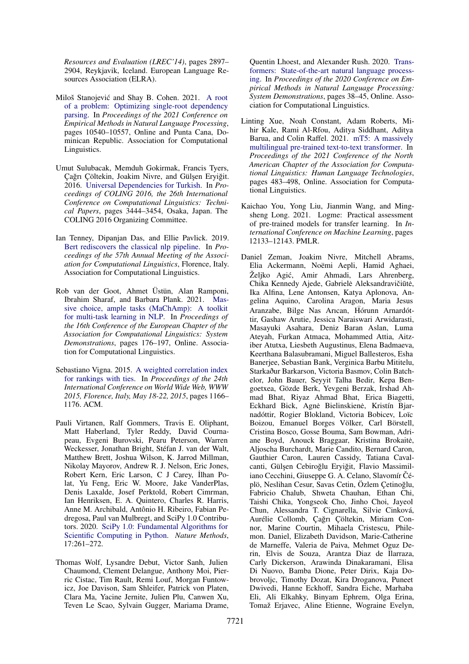*Resources and Evaluation (LREC'14)*, pages 2897– 2904, Reykjavik, Iceland. European Language Resources Association (ELRA).

- <span id="page-10-3"></span>Miloš Stanojević and Shay B. Cohen. 2021. [A root](https://doi.org/10.18653/v1/2021.emnlp-main.823) [of a problem: Optimizing single-root dependency](https://doi.org/10.18653/v1/2021.emnlp-main.823) [parsing.](https://doi.org/10.18653/v1/2021.emnlp-main.823) In *Proceedings of the 2021 Conference on Empirical Methods in Natural Language Processing*, pages 10540–10557, Online and Punta Cana, Dominican Republic. Association for Computational Linguistics.
- <span id="page-10-8"></span>Umut Sulubacak, Memduh Gokirmak, Francis Tyers, Çağrı Çöltekin, Joakim Nivre, and Gülşen Eryiğit. 2016. [Universal Dependencies for Turkish.](https://aclanthology.org/C16-1325) In *Proceedings of COLING 2016, the 26th International Conference on Computational Linguistics: Technical Papers*, pages 3444–3454, Osaka, Japan. The COLING 2016 Organizing Committee.
- <span id="page-10-0"></span>Ian Tenney, Dipanjan Das, and Ellie Pavlick. 2019. [Bert rediscovers the classical nlp pipeline.](https://doi.org/10.18653/v1/p19-1452) In *Proceedings of the 57th Annual Meeting of the Association for Computational Linguistics*, Florence, Italy. Association for Computational Linguistics.
- <span id="page-10-4"></span>Rob van der Goot, Ahmet Üstün, Alan Ramponi, Ibrahim Sharaf, and Barbara Plank. 2021. [Mas](https://doi.org/10.18653/v1/2021.eacl-demos.22)[sive choice, ample tasks \(MaChAmp\): A toolkit](https://doi.org/10.18653/v1/2021.eacl-demos.22) [for multi-task learning in NLP.](https://doi.org/10.18653/v1/2021.eacl-demos.22) In *Proceedings of the 16th Conference of the European Chapter of the Association for Computational Linguistics: System Demonstrations*, pages 176–197, Online. Association for Computational Linguistics.
- <span id="page-10-7"></span>Sebastiano Vigna. 2015. [A weighted correlation index](https://doi.org/10.1145/2736277.2741088) [for rankings with ties.](https://doi.org/10.1145/2736277.2741088) In *Proceedings of the 24th International Conference on World Wide Web, WWW 2015, Florence, Italy, May 18-22, 2015*, pages 1166– 1176. ACM.
- <span id="page-10-9"></span>Pauli Virtanen, Ralf Gommers, Travis E. Oliphant, Matt Haberland, Tyler Reddy, David Cournapeau, Evgeni Burovski, Pearu Peterson, Warren Weckesser, Jonathan Bright, Stéfan J. van der Walt, Matthew Brett, Joshua Wilson, K. Jarrod Millman, Nikolay Mayorov, Andrew R. J. Nelson, Eric Jones, Robert Kern, Eric Larson, C J Carey, İlhan Polat, Yu Feng, Eric W. Moore, Jake VanderPlas, Denis Laxalde, Josef Perktold, Robert Cimrman, Ian Henriksen, E. A. Quintero, Charles R. Harris, Anne M. Archibald, Antônio H. Ribeiro, Fabian Pedregosa, Paul van Mulbregt, and SciPy 1.0 Contributors. 2020. [SciPy 1.0: Fundamental Algorithms for](https://doi.org/10.1038/s41592-019-0686-2) [Scientific Computing in Python.](https://doi.org/10.1038/s41592-019-0686-2) *Nature Methods*, 17:261–272.
- <span id="page-10-6"></span>Thomas Wolf, Lysandre Debut, Victor Sanh, Julien Chaumond, Clement Delangue, Anthony Moi, Pierric Cistac, Tim Rault, Remi Louf, Morgan Funtowicz, Joe Davison, Sam Shleifer, Patrick von Platen, Clara Ma, Yacine Jernite, Julien Plu, Canwen Xu, Teven Le Scao, Sylvain Gugger, Mariama Drame,

Quentin Lhoest, and Alexander Rush. 2020. [Trans](https://doi.org/10.18653/v1/2020.emnlp-demos.6)[formers: State-of-the-art natural language process](https://doi.org/10.18653/v1/2020.emnlp-demos.6)[ing.](https://doi.org/10.18653/v1/2020.emnlp-demos.6) In *Proceedings of the 2020 Conference on Empirical Methods in Natural Language Processing: System Demonstrations*, pages 38–45, Online. Association for Computational Linguistics.

- <span id="page-10-2"></span>Linting Xue, Noah Constant, Adam Roberts, Mihir Kale, Rami Al-Rfou, Aditya Siddhant, Aditya Barua, and Colin Raffel. 2021. [mT5: A massively](https://doi.org/10.18653/v1/2021.naacl-main.41) [multilingual pre-trained text-to-text transformer.](https://doi.org/10.18653/v1/2021.naacl-main.41) In *Proceedings of the 2021 Conference of the North American Chapter of the Association for Computational Linguistics: Human Language Technologies*, pages 483–498, Online. Association for Computational Linguistics.
- <span id="page-10-1"></span>Kaichao You, Yong Liu, Jianmin Wang, and Mingsheng Long. 2021. Logme: Practical assessment of pre-trained models for transfer learning. In *International Conference on Machine Learning*, pages 12133–12143. PMLR.
- <span id="page-10-5"></span>Daniel Zeman, Joakim Nivre, Mitchell Abrams, Elia Ackermann, Noëmi Aepli, Hamid Aghaei, Željko Agić, Amir Ahmadi, Lars Ahrenberg, Chika Kennedy Ajede, Gabrielė Aleksandravičiūtė, Ika Alfina, Lene Antonsen, Katya Aplonova, Angelina Aquino, Carolina Aragon, Maria Jesus Aranzabe, Bilge Nas Arıcan, Hórunn Arnardót tir, Gashaw Arutie, Jessica Naraiswari Arwidarasti, Masayuki Asahara, Deniz Baran Aslan, Luma Ateyah, Furkan Atmaca, Mohammed Attia, Aitziber Atutxa, Liesbeth Augustinus, Elena Badmaeva, Keerthana Balasubramani, Miguel Ballesteros, Esha Banerjee, Sebastian Bank, Verginica Barbu Mititelu, Starkaður Barkarson, Victoria Basmov, Colin Batchelor, John Bauer, Seyyit Talha Bedir, Kepa Bengoetxea, Gözde Berk, Yevgeni Berzak, Irshad Ahmad Bhat, Riyaz Ahmad Bhat, Erica Biagetti, Eckhard Bick, Agne Bielinskiene, Kristín Bjarnadóttir, Rogier Blokland, Victoria Bobicev, Loïc Boizou, Emanuel Borges Völker, Carl Börstell, Cristina Bosco, Gosse Bouma, Sam Bowman, Adriane Boyd, Anouck Braggaar, Kristina Brokaitė, Aljoscha Burchardt, Marie Candito, Bernard Caron, Gauthier Caron, Lauren Cassidy, Tatiana Cavalcanti, Gülşen Cebiroğlu Eryiğit, Flavio Massimiliano Cecchini, Giuseppe G. A. Celano, Slavomír Čéplö, Neslihan Cesur, Savas Cetin, Özlem Çetinoglu, ˘ Fabricio Chalub, Shweta Chauhan, Ethan Chi, Taishi Chika, Yongseok Cho, Jinho Choi, Jayeol Chun, Alessandra T. Cignarella, Silvie Cinková, Aurélie Collomb, Çağrı Çöltekin, Miriam Connor, Marine Courtin, Mihaela Cristescu, Philemon. Daniel, Elizabeth Davidson, Marie-Catherine de Marneffe, Valeria de Paiva, Mehmet Oguz Derin, Elvis de Souza, Arantza Diaz de Ilarraza, Carly Dickerson, Arawinda Dinakaramani, Elisa Di Nuovo, Bamba Dione, Peter Dirix, Kaja Dobrovoljc, Timothy Dozat, Kira Droganova, Puneet Dwivedi, Hanne Eckhoff, Sandra Eiche, Marhaba Eli, Ali Elkahky, Binyam Ephrem, Olga Erina, Tomaž Erjavec, Aline Etienne, Wograine Evelyn,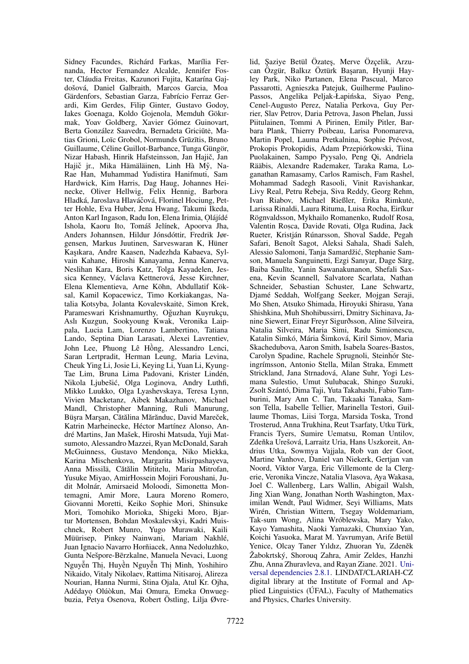Sidney Facundes, Richárd Farkas, Marília Fernanda, Hector Fernandez Alcalde, Jennifer Foster, Cláudia Freitas, Kazunori Fujita, Katarína Gajdošová, Daniel Galbraith, Marcos Garcia, Moa Gärdenfors, Sebastian Garza, Fabrício Ferraz Gerardi, Kim Gerdes, Filip Ginter, Gustavo Godoy, Iakes Goenaga, Koldo Gojenola, Memduh Gökırmak, Yoav Goldberg, Xavier Gómez Guinovart, Berta González Saavedra, Bernadeta Griciūtė, Matias Grioni, Loïc Grobol, Normunds Grūzītis, Bruno Guillaume, Céline Guillot-Barbance, Tunga Güngör, Nizar Habash, Hinrik Hafsteinsson, Jan Hajič, Jan Hajič jr., Mika Hämäläinen, Linh Hà Mỹ, Na-Rae Han, Muhammad Yudistira Hanifmuti, Sam Hardwick, Kim Harris, Dag Haug, Johannes Heinecke, Oliver Hellwig, Felix Hennig, Barbora Hladká, Jaroslava Hlaváčová, Florinel Hociung, Petter Hohle, Eva Huber, Jena Hwang, Takumi Ikeda, Anton Karl Ingason, Radu Ion, Elena Irimia, Olájídé Ishola, Kaoru Ito, Tomáš Jelínek, Apoorva Jha, Anders Johannsen, Hildur Jónsdóttir, Fredrik Jørgensen, Markus Juutinen, Sarveswaran K, Hüner Kaşıkara, Andre Kaasen, Nadezhda Kabaeva, Sylvain Kahane, Hiroshi Kanayama, Jenna Kanerva, Neslihan Kara, Boris Katz, Tolga Kayadelen, Jessica Kenney, Václava Kettnerová, Jesse Kirchner, Elena Klementieva, Arne Köhn, Abdullatif Köksal, Kamil Kopacewicz, Timo Korkiakangas, Natalia Kotsyba, Jolanta Kovalevskaitė, Simon Krek, Parameswari Krishnamurthy, Oğuzhan Kuyrukçu, Aslı Kuzgun, Sookyoung Kwak, Veronika Laippala, Lucia Lam, Lorenzo Lambertino, Tatiana Lando, Septina Dian Larasati, Alexei Lavrentiev, John Lee, Phuong Lê Hông, Alessandro Lenci, ` Saran Lertpradit, Herman Leung, Maria Levina, Cheuk Ying Li, Josie Li, Keying Li, Yuan Li, Kyung-Tae Lim, Bruna Lima Padovani, Krister Lindén, Nikola Ljubešic, Olga Loginova, Andry Luthfi, ´ Mikko Luukko, Olga Lyashevskaya, Teresa Lynn, Vivien Macketanz, Aibek Makazhanov, Michael Mandl, Christopher Manning, Ruli Manurung, Büşra Marşan, Cătălina Mărănduc, David Mareček, Katrin Marheinecke, Héctor Martínez Alonso, André Martins, Jan Mašek, Hiroshi Matsuda, Yuji Matsumoto, Alessandro Mazzei, Ryan McDonald, Sarah McGuinness, Gustavo Mendonça, Niko Miekka, Karina Mischenkova, Margarita Misirpashayeva, Anna Missilä, Cătălin Mititelu, Maria Mitrofan, Yusuke Miyao, AmirHossein Mojiri Foroushani, Judit Molnár, Amirsaeid Moloodi, Simonetta Montemagni, Amir More, Laura Moreno Romero, Giovanni Moretti, Keiko Sophie Mori, Shinsuke Mori, Tomohiko Morioka, Shigeki Moro, Bjartur Mortensen, Bohdan Moskalevskyi, Kadri Muischnek, Robert Munro, Yugo Murawaki, Kaili Müürisep, Pinkey Nainwani, Mariam Nakhlé, Juan Ignacio Navarro Horñiacek, Anna Nedoluzhko, Gunta Nešpore-Berzkalne, Manuela Nevaci, Luong ¯ Nguyễn Thị, Huyền Nguyễn Thị Minh, Yoshihiro Nikaido, Vitaly Nikolaev, Rattima Nitisaroj, Alireza Nourian, Hanna Nurmi, Stina Ojala, Atul Kr. Ojha, Adédayo. Olúòkun, Mai Omura, Emeka Onwuegbuzia, Petya Osenova, Robert Östling, Lilja Øvre-

lid, Şaziye Betül Özateş, Merve Özçelik, Arzucan Özgür, Balkız Öztürk Başaran, Hyunji Hayley Park, Niko Partanen, Elena Pascual, Marco Passarotti, Agnieszka Patejuk, Guilherme Paulino-Passos, Angelika Peljak-Łapińska, Siyao Peng, Cenel-Augusto Perez, Natalia Perkova, Guy Perrier, Slav Petrov, Daria Petrova, Jason Phelan, Jussi Piitulainen, Tommi A Pirinen, Emily Pitler, Barbara Plank, Thierry Poibeau, Larisa Ponomareva, Martin Popel, Lauma Pretkalnina, Sophie Prévost, Prokopis Prokopidis, Adam Przepiórkowski, Tiina Puolakainen, Sampo Pyysalo, Peng Qi, Andriela Rääbis, Alexandre Rademaker, Taraka Rama, Loganathan Ramasamy, Carlos Ramisch, Fam Rashel, Mohammad Sadegh Rasooli, Vinit Ravishankar, Livy Real, Petru Rebeja, Siva Reddy, Georg Rehm, Ivan Riabov, Michael Rießler, Erika Rimkutė, Larissa Rinaldi, Laura Rituma, Luisa Rocha, Eiríkur Rögnvaldsson, Mykhailo Romanenko, Rudolf Rosa, Valentin Roșca, Davide Rovati, Olga Rudina, Jack Rueter, Kristján Rúnarsson, Shoval Sadde, Pegah Safari, Benoît Sagot, Aleksi Sahala, Shadi Saleh, Alessio Salomoni, Tanja Samardžic, Stephanie Sam- ´ son, Manuela Sanguinetti, Ezgi Sanıyar, Dage Särg, Baiba Saulīte, Yanin Sawanakunanon, Shefali Saxena, Kevin Scannell, Salvatore Scarlata, Nathan Schneider, Sebastian Schuster, Lane Schwartz, Djamé Seddah, Wolfgang Seeker, Mojgan Seraji, Mo Shen, Atsuko Shimada, Hiroyuki Shirasu, Yana Shishkina, Muh Shohibussirri, Dmitry Sichinava, Janine Siewert, Einar Freyr Sigurðsson, Aline Silveira, Natalia Silveira, Maria Simi, Radu Simionescu, Katalin Simkó, Mária Šimková, Kiril Simov, Maria Skachedubova, Aaron Smith, Isabela Soares-Bastos, Carolyn Spadine, Rachele Sprugnoli, Steinhór Ste ingrímsson, Antonio Stella, Milan Straka, Emmett Strickland, Jana Strnadová, Alane Suhr, Yogi Lesmana Sulestio, Umut Sulubacak, Shingo Suzuki, Zsolt Szántó, Dima Taji, Yuta Takahashi, Fabio Tamburini, Mary Ann C. Tan, Takaaki Tanaka, Samson Tella, Isabelle Tellier, Marinella Testori, Guillaume Thomas, Liisi Torga, Marsida Toska, Trond Trosterud, Anna Trukhina, Reut Tsarfaty, Utku Türk, Francis Tyers, Sumire Uematsu, Roman Untilov, Zdeňka Urešová, Larraitz Uria, Hans Uszkoreit, Andrius Utka, Sowmya Vajjala, Rob van der Goot, Martine Vanhove, Daniel van Niekerk, Gertjan van Noord, Viktor Varga, Eric Villemonte de la Clergerie, Veronika Vincze, Natalia Vlasova, Aya Wakasa, Joel C. Wallenberg, Lars Wallin, Abigail Walsh, Jing Xian Wang, Jonathan North Washington, Maximilan Wendt, Paul Widmer, Seyi Williams, Mats Wirén, Christian Wittern, Tsegay Woldemariam, Tak-sum Wong, Alina Wróblewska, Mary Yako, Kayo Yamashita, Naoki Yamazaki, Chunxiao Yan, Koichi Yasuoka, Marat M. Yavrumyan, Arife Betül Yenice, Olcay Taner Yıldız, Zhuoran Yu, Zdeněk Žabokrtský, Shorouq Zahra, Amir Zeldes, Hanzhi Zhu, Anna Zhuravleva, and Rayan Ziane. 2021. [Uni](http://hdl.handle.net/11234/1-3687)[versal dependencies 2.8.1.](http://hdl.handle.net/11234/1-3687) LINDAT/CLARIAH-CZ digital library at the Institute of Formal and Applied Linguistics (ÚFAL), Faculty of Mathematics and Physics, Charles University.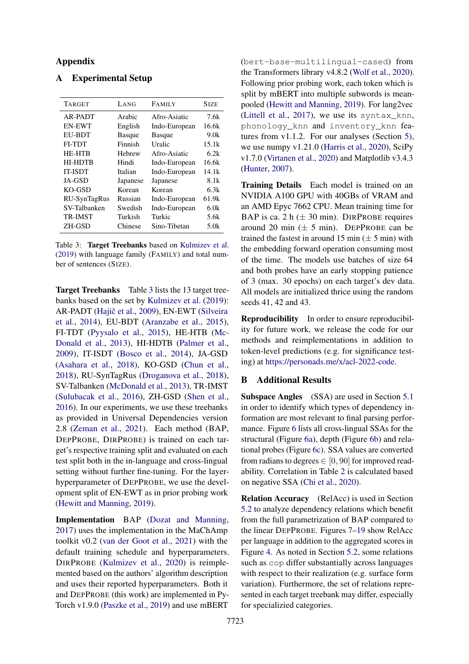## Appendix

## <span id="page-12-0"></span>A Experimental Setup

<span id="page-12-2"></span>

| <b>TARGET</b>  | LANG          | <b>FAMILY</b> | <b>SIZE</b> |
|----------------|---------------|---------------|-------------|
| AR-PADT        | Arabic        | Afro-Asiatic  | 7.6k        |
| <b>EN-EWT</b>  | English       | Indo-European | 16.6k       |
| <b>EU-BDT</b>  | <b>Basque</b> | <b>Basque</b> | 9.0k        |
| FI-TDT         | Finnish       | Uralic        | 15.1k       |
| <b>HE-HTB</b>  | Hebrew        | Afro-Asiatic  | 6.2k        |
| <b>HI-HDTB</b> | Hindi         | Indo-European | 16.6k       |
| <b>IT-ISDT</b> | Italian       | Indo-European | 14.1k       |
| JA-GSD         | Japanese      | Japanese      | 8.1k        |
| KO-GSD         | Korean        | Korean        | 6.3k        |
| RU-SynTagRus   | Russian       | Indo-European | 61.9k       |
| SV-Talbanken   | Swedish       | Indo-European | 6.0k        |
| <b>TR-IMST</b> | Turkish       | Turkic        | 5.6k        |
| ZH-GSD         | Chinese       | Sino-Tibetan  | 5.0k        |

Table 3: Target Treebanks based on [Kulmizev et al.](#page-9-7) [\(2019\)](#page-9-7) with language family (FAMILY) and total number of sentences (SIZE).

Target Treebanks Table [3](#page-12-2) lists the 13 target treebanks based on the set by [Kulmizev et al.](#page-9-7) [\(2019\)](#page-9-7): AR-PADT (Hajič et al., [2009\)](#page-8-8), EN-EWT [\(Silveira](#page-9-8) [et al.,](#page-9-8) [2014\)](#page-9-8), EU-BDT [\(Aranzabe et al.,](#page-8-9) [2015\)](#page-8-9), FI-TDT [\(Pyysalo et al.,](#page-9-13) [2015\)](#page-9-13), HE-HTB [\(Mc-](#page-9-14)[Donald et al.,](#page-9-14) [2013\)](#page-9-14), HI-HDTB [\(Palmer et al.,](#page-9-15) [2009\)](#page-9-15), IT-ISDT [\(Bosco et al.,](#page-8-10) [2014\)](#page-8-10), JA-GSD [\(Asahara et al.,](#page-8-11) [2018\)](#page-8-11), KO-GSD [\(Chun et al.,](#page-8-12) [2018\)](#page-8-12), RU-SynTagRus [\(Droganova et al.,](#page-8-13) [2018\)](#page-8-13), SV-Talbanken [\(McDonald et al.,](#page-9-14) [2013\)](#page-9-14), TR-IMST [\(Sulubacak et al.,](#page-10-8) [2016\)](#page-10-8), ZH-GSD [\(Shen et al.,](#page-9-16) [2016\)](#page-9-16). In our experiments, we use these treebanks as provided in Universal Dependencies version 2.8 [\(Zeman et al.,](#page-10-5) [2021\)](#page-10-5). Each method (BAP, DEPPROBE, DIRPROBE) is trained on each target's respective training split and evaluated on each test split both in the in-language and cross-lingual setting without further fine-tuning. For the layerhyperparameter of DEPPROBE, we use the development split of EN-EWT as in prior probing work [\(Hewitt and Manning,](#page-9-0) [2019\)](#page-9-0).

Implementation BAP [\(Dozat and Manning,](#page-8-5) [2017\)](#page-8-5) uses the implementation in the MaChAmp toolkit v0.2 [\(van der Goot et al.,](#page-10-4) [2021\)](#page-10-4) with the default training schedule and hyperparameters. DIRPROBE [\(Kulmizev et al.,](#page-9-1) [2020\)](#page-9-1) is reimplemented based on the authors' algorithm description and uses their reported hyperparameters. Both it and DEPPROBE (this work) are implemented in Py-Torch v1.9.0 [\(Paszke et al.,](#page-9-10) [2019\)](#page-9-10) and use mBERT

(bert-base-multilingual-cased) from the Transformers library v4.8.2 [\(Wolf et al.,](#page-10-6) [2020\)](#page-10-6). Following prior probing work, each token which is split by mBERT into multiple subwords is meanpooled [\(Hewitt and Manning,](#page-9-0) [2019\)](#page-9-0). For lang2vec [\(Littell et al.,](#page-9-11) [2017\)](#page-9-11), we use its syntax\_knn, phonology\_knn and inventory\_knn features from v1.1.2. For our analyses (Section [5\)](#page-5-0), we use numpy v1.21.0 [\(Harris et al.,](#page-8-14) [2020\)](#page-8-14), SciPy v1.7.0 [\(Virtanen et al.,](#page-10-9) [2020\)](#page-10-9) and Matplotlib v3.4.3 [\(Hunter,](#page-9-17) [2007\)](#page-9-17).

Training Details Each model is trained on an NVIDIA A100 GPU with 40GBs of VRAM and an AMD Epyc 7662 CPU. Mean training time for BAP is ca. 2 h  $(\pm 30 \text{ min})$ . DIRPROBE requires around 20 min  $(\pm 5 \text{ min})$ . DEPPROBE can be trained the fastest in around 15 min  $(\pm 5 \text{ min})$  with the embedding forward operation consuming most of the time. The models use batches of size 64 and both probes have an early stopping patience of 3 (max. 30 epochs) on each target's dev data. All models are initialized thrice using the random seeds 41, 42 and 43.

Reproducibility In order to ensure reproducibility for future work, we release the code for our methods and reimplementations in addition to token-level predictions (e.g. for significance testing) at [https://personads.me/x/acl-2022-code.](https://personads.me/x/acl-2022-code)

## <span id="page-12-1"></span>B Additional Results

Subspace Angles (SSA) are used in Section [5.1](#page-5-3) in order to identify which types of dependency information are most relevant to final parsing performance. Figure [6](#page-13-0) lists all cross-lingual SSAs for the structural (Figure [6a\)](#page-13-0), depth (Figure [6b\)](#page-13-0) and relational probes (Figure [6c\)](#page-13-0). SSA values are converted from radians to degrees  $\in [0, 90]$  for improved readability. Correlation in Table [2](#page-5-2) is calculated based on negative SSA [\(Chi et al.,](#page-8-3) [2020\)](#page-8-3).

Relation Accuracy (RelAcc) is used in Section [5.2](#page-6-0) to analyze dependency relations which benefit from the full parametrization of BAP compared to the linear DEPPROBE. Figures [7](#page-13-1)[–19](#page-15-0) show RelAcc per language in addition to the aggregated scores in Figure [4.](#page-7-1) As noted in Section [5.2,](#page-6-0) some relations such as cop differ substantially across languages with respect to their realization (e.g. surface form variation). Furthermore, the set of relations represented in each target treebank may differ, especially for specializied categories.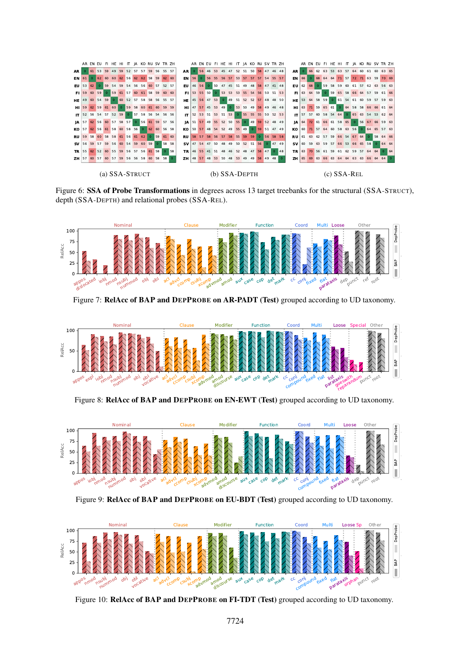<span id="page-13-0"></span>

<span id="page-13-1"></span>Figure 6: SSA of Probe Transformations in degrees across 13 target treebanks for the structural (SSA-STRUCT), depth (SSA-DEPTH) and relational probes (SSA-REL).



Figure 7: RelAcc of BAP and DEPPROBE on AR-PADT (Test) grouped according to UD taxonomy.



Figure 8: RelAcc of BAP and DEPPROBE on EN-EWT (Test) grouped according to UD taxonomy.



Figure 9: RelAcc of BAP and DEPPROBE on EU-BDT (Test) grouped according to UD taxonomy.



Figure 10: RelAcc of BAP and DEPPROBE on FI-TDT (Test) grouped according to UD taxonomy.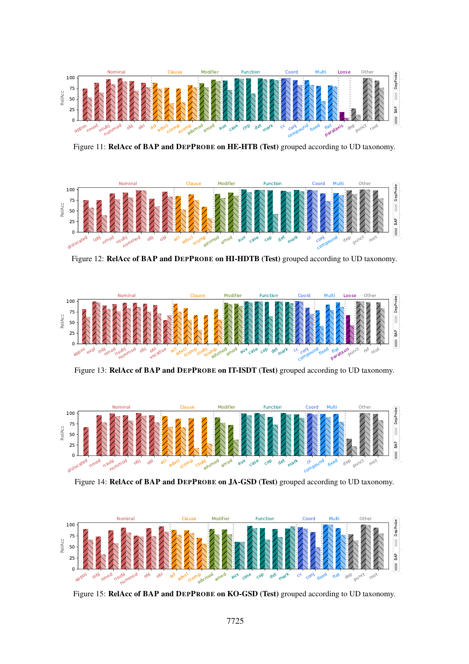

Figure 11: RelAcc of BAP and DEPPROBE on HE-HTB (Test) grouped according to UD taxonomy.



Figure 12: RelAcc of BAP and DEPPROBE on HI-HDTB (Test) grouped according to UD taxonomy.



Figure 13: RelAcc of BAP and DEPPROBE on IT-ISDT (Test) grouped according to UD taxonomy.



Figure 14: RelAcc of BAP and DEPPROBE on JA-GSD (Test) grouped according to UD taxonomy.



Figure 15: RelAcc of BAP and DEPPROBE on KO-GSD (Test) grouped according to UD taxonomy.